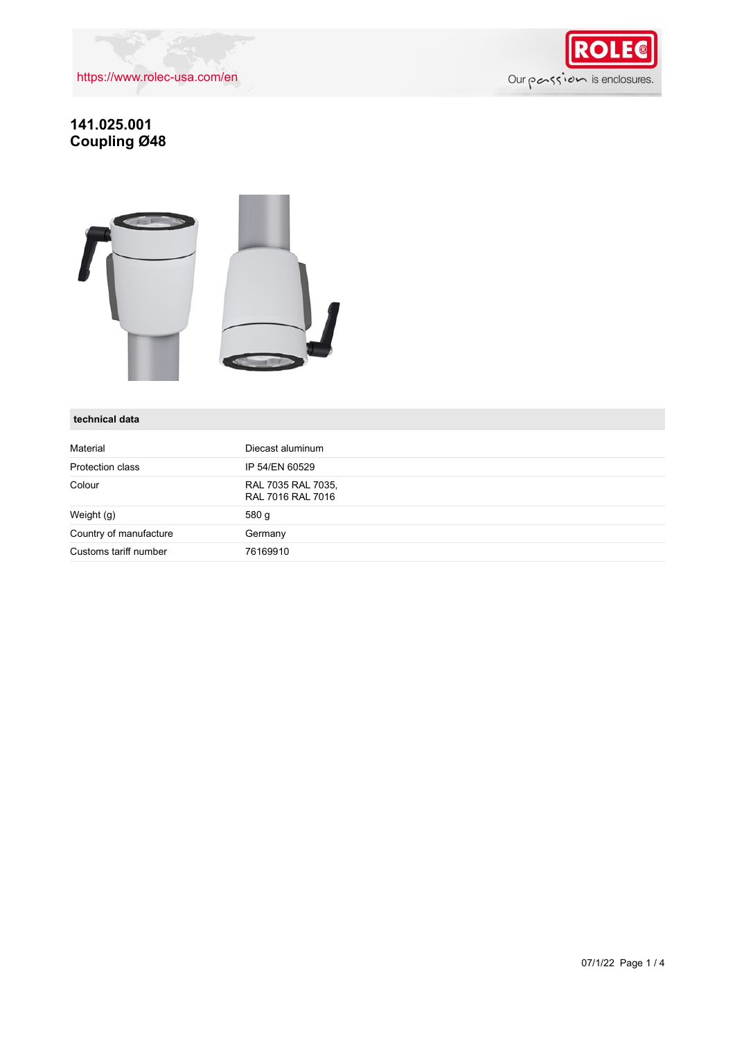

## **141.025.001 Coupling Ø48**



### **technical data**

| Material               | Diecast aluminum                        |
|------------------------|-----------------------------------------|
| Protection class       | IP 54/EN 60529                          |
| Colour                 | RAL 7035 RAL 7035,<br>RAL 7016 RAL 7016 |
| Weight (g)             | 580 g                                   |
| Country of manufacture | Germany                                 |
| Customs tariff number  | 76169910                                |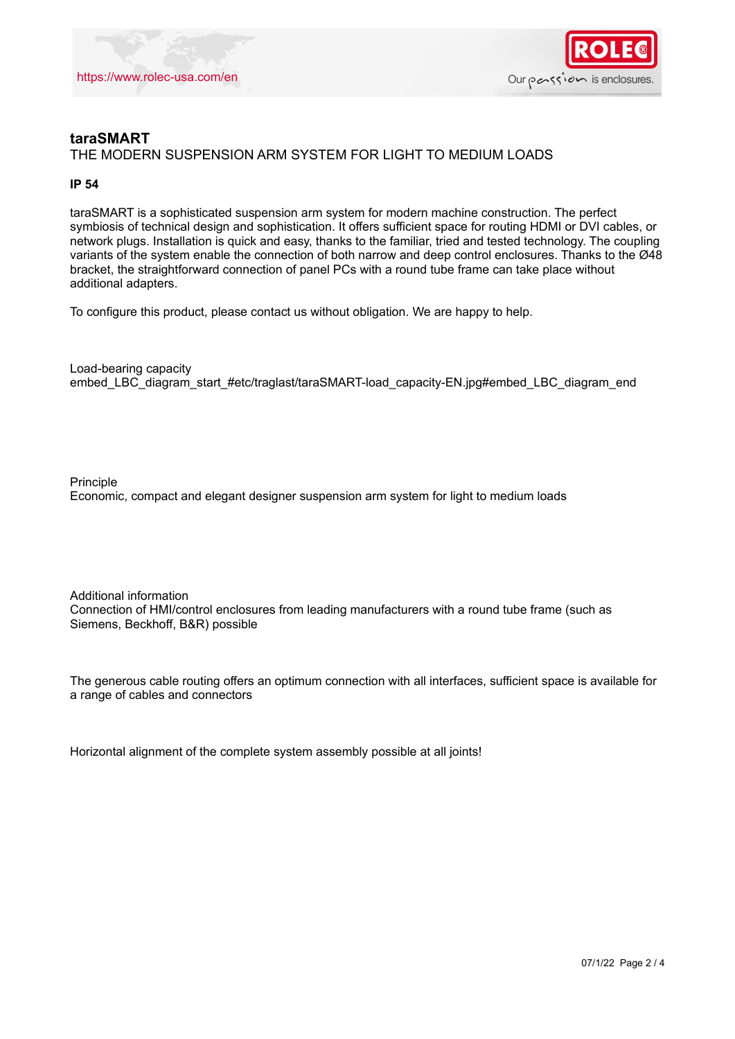



## **taraSMART** THE MODERN SUSPENSION ARM SYSTEM FOR LIGHT TO MEDIUM LOADS

#### **IP 54**

taraSMART is a sophisticated suspension arm system for modern machine construction. The perfect symbiosis of technical design and sophistication. It offers sufficient space for routing HDMI or DVI cables, or network plugs. Installation is quick and easy, thanks to the familiar, tried and tested technology. The coupling variants of the system enable the connection of both narrow and deep control enclosures. Thanks to the Ø48 bracket, the straightforward connection of panel PCs with a round tube frame can take place without additional adapters.

To configure this product, please contact us without obligation. We are happy to help.

Load-bearing capacity embed\_LBC\_diagram\_start\_#etc/traglast/taraSMART-load\_capacity-EN.jpg#embed\_LBC\_diagram\_end

Principle Economic, compact and elegant designer suspension arm system for light to medium loads

Additional information Connection of HMI/control enclosures from leading manufacturers with a round tube frame (such as Siemens, Beckhoff, B&R) possible

The generous cable routing offers an optimum connection with all interfaces, sufficient space is available for a range of cables and connectors

Horizontal alignment of the complete system assembly possible at all joints!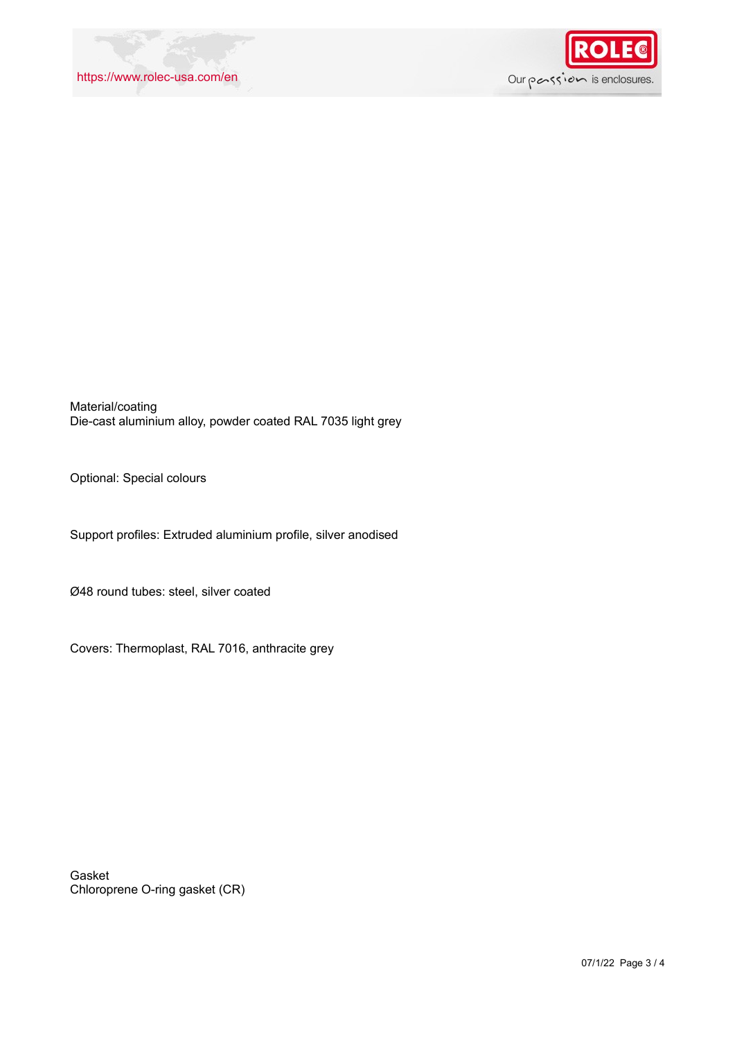

Material/coating Die-cast aluminium alloy, powder coated RAL 7035 light grey

Optional: Special colours

Support profiles: Extruded aluminium profile, silver anodised

Ø48 round tubes: steel, silver coated

Covers: Thermoplast, RAL 7016, anthracite grey

Gasket Chloroprene O-ring gasket (CR)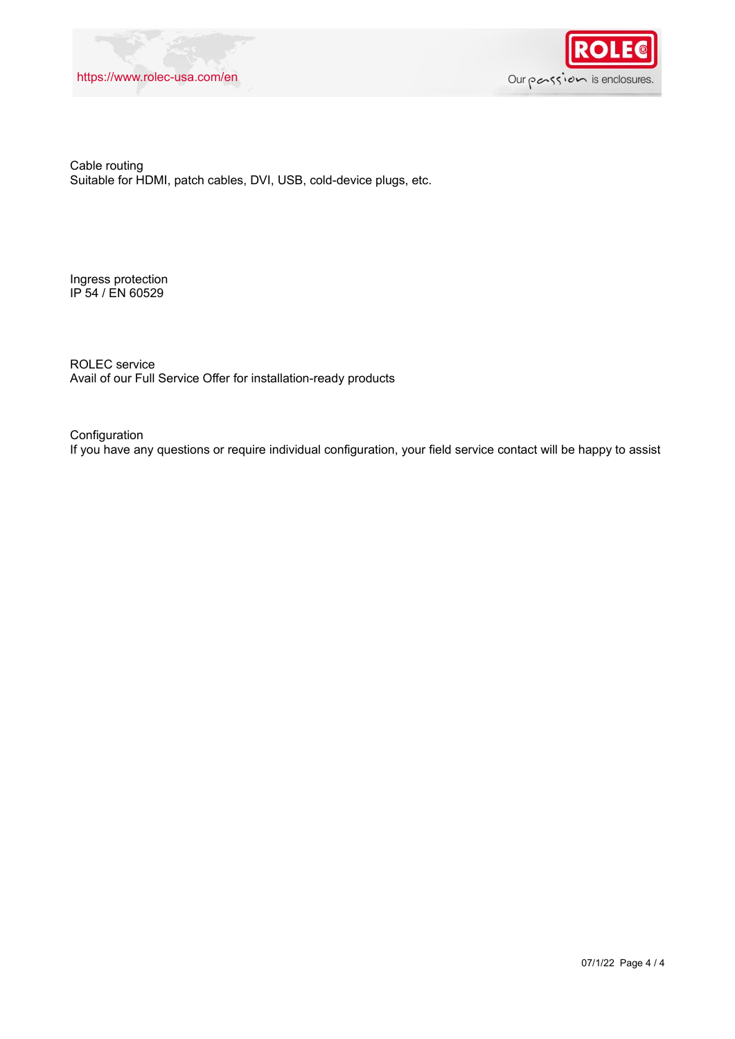



Cable routing Suitable for HDMI, patch cables, DVI, USB, cold-device plugs, etc.

Ingress protection IP 54 / EN 60529

ROLEC service Avail of our Full Service Offer for installation-ready products

Configuration If you have any questions or require individual configuration, your field service contact will be happy to assist